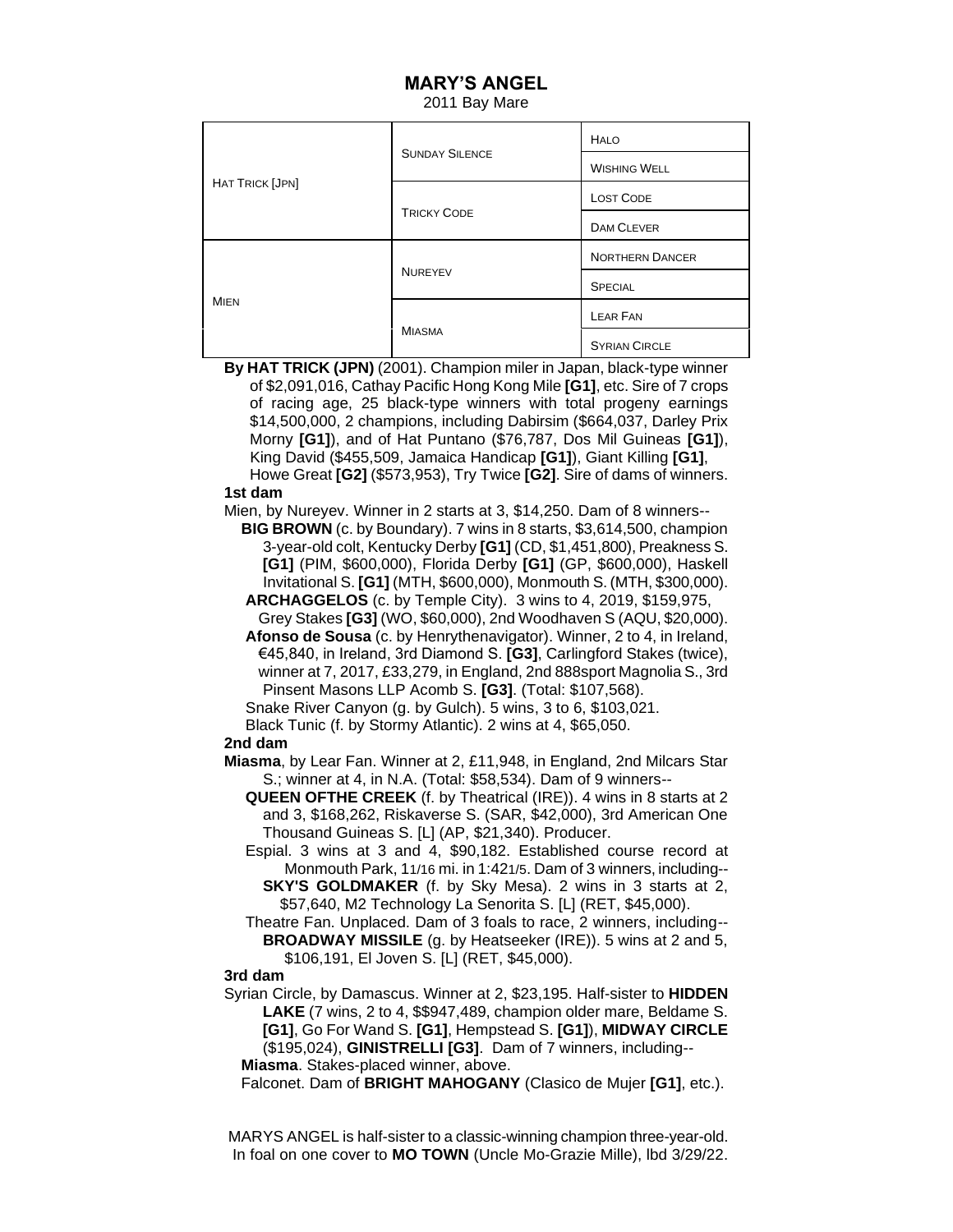## **MARY'S ANGEL**

2011 Bay Mare

| <b>HAT TRICK [JPN]</b> | <b>SUNDAY SILENCE</b> | <b>HALO</b>            |
|------------------------|-----------------------|------------------------|
|                        |                       | <b>WISHING WELL</b>    |
|                        | <b>TRICKY CODE</b>    | <b>LOST CODE</b>       |
|                        |                       | <b>DAM CLEVER</b>      |
| <b>MIEN</b>            | <b>NUREYEV</b>        | <b>NORTHERN DANCER</b> |
|                        |                       | <b>SPECIAL</b>         |
|                        | <b>MIASMA</b>         | <b>LEAR FAN</b>        |
|                        |                       | <b>SYRIAN CIRCLE</b>   |

**By HAT TRICK (JPN)** (2001). Champion miler in Japan, black-type winner of \$2,091,016, Cathay Pacific Hong Kong Mile **[G1]**, etc. Sire of 7 crops of racing age, 25 black-type winners with total progeny earnings \$14,500,000, 2 champions, including Dabirsim (\$664,037, Darley Prix Morny **[G1]**), and of Hat Puntano (\$76,787, Dos Mil Guineas **[G1]**), King David (\$455,509, Jamaica Handicap **[G1]**), Giant Killing **[G1]**, Howe Great **[G2]** (\$573,953), Try Twice **[G2]**. Sire of dams of winners. **1st dam**

Mien, by Nureyev. Winner in 2 starts at 3, \$14,250. Dam of 8 winners--

- **BIG BROWN** (c. by Boundary). 7 wins in 8 starts, \$3,614,500, champion 3-year-old colt, Kentucky Derby **[G1]** (CD, \$1,451,800), Preakness S. **[G1]** (PIM, \$600,000), Florida Derby **[G1]** (GP, \$600,000), Haskell Invitational S. **[G1]** (MTH, \$600,000), Monmouth S. (MTH, \$300,000). **ARCHAGGELOS** (c. by Temple City). 3 wins to 4, 2019, \$159,975,
- Grey Stakes **[G3]** (WO, \$60,000), 2nd Woodhaven S (AQU, \$20,000).
- **Afonso de Sousa** (c. by Henrythenavigator). Winner, 2 to 4, in Ireland, €45,840, in Ireland, 3rd Diamond S. **[G3]**, Carlingford Stakes (twice), winner at 7, 2017, £33,279, in England, 2nd 888sport Magnolia S., 3rd Pinsent Masons LLP Acomb S. **[G3]**. (Total: \$107,568).
- Snake River Canyon (g. by Gulch). 5 wins, 3 to 6, \$103,021.
- Black Tunic (f. by Stormy Atlantic). 2 wins at 4, \$65,050.

## **2nd dam**

- **Miasma**, by Lear Fan. Winner at 2, £11,948, in England, 2nd Milcars Star S.; winner at 4, in N.A. (Total: \$58,534). Dam of 9 winners--
	- **QUEEN OFTHE CREEK** (f. by Theatrical (IRE)). 4 wins in 8 starts at 2 and 3, \$168,262, Riskaverse S. (SAR, \$42,000), 3rd American One Thousand Guineas S. [L] (AP, \$21,340). Producer.
	- Espial. 3 wins at 3 and 4, \$90,182. Established course record at Monmouth Park, 11/16 mi. in 1:421/5. Dam of 3 winners, including-- **SKY'S GOLDMAKER** (f. by Sky Mesa). 2 wins in 3 starts at 2, \$57,640, M2 Technology La Senorita S. [L] (RET, \$45,000).
	- Theatre Fan. Unplaced. Dam of 3 foals to race, 2 winners, including-- **BROADWAY MISSILE** (g. by Heatseeker (IRE)). 5 wins at 2 and 5, \$106,191, El Joven S. [L] (RET, \$45,000).

## **3rd dam**

- Syrian Circle, by Damascus. Winner at 2, \$23,195. Half-sister to **HIDDEN LAKE** (7 wins, 2 to 4, \$\$947,489, champion older mare, Beldame S.  **[G1]**, Go For Wand S. **[G1]**, Hempstead S. **[G1]**), **MIDWAY CIRCLE** (\$195,024), **GINISTRELLI [G3]**. Dam of 7 winners, including-- **Miasma**. Stakes-placed winner, above.
	- Falconet. Dam of **BRIGHT MAHOGANY** (Clasico de Mujer **[G1]**, etc.).

MARYS ANGEL is half-sister to a classic-winning champion three-year-old. In foal on one cover to **MO TOWN** (Uncle Mo-Grazie Mille), lbd 3/29/22.